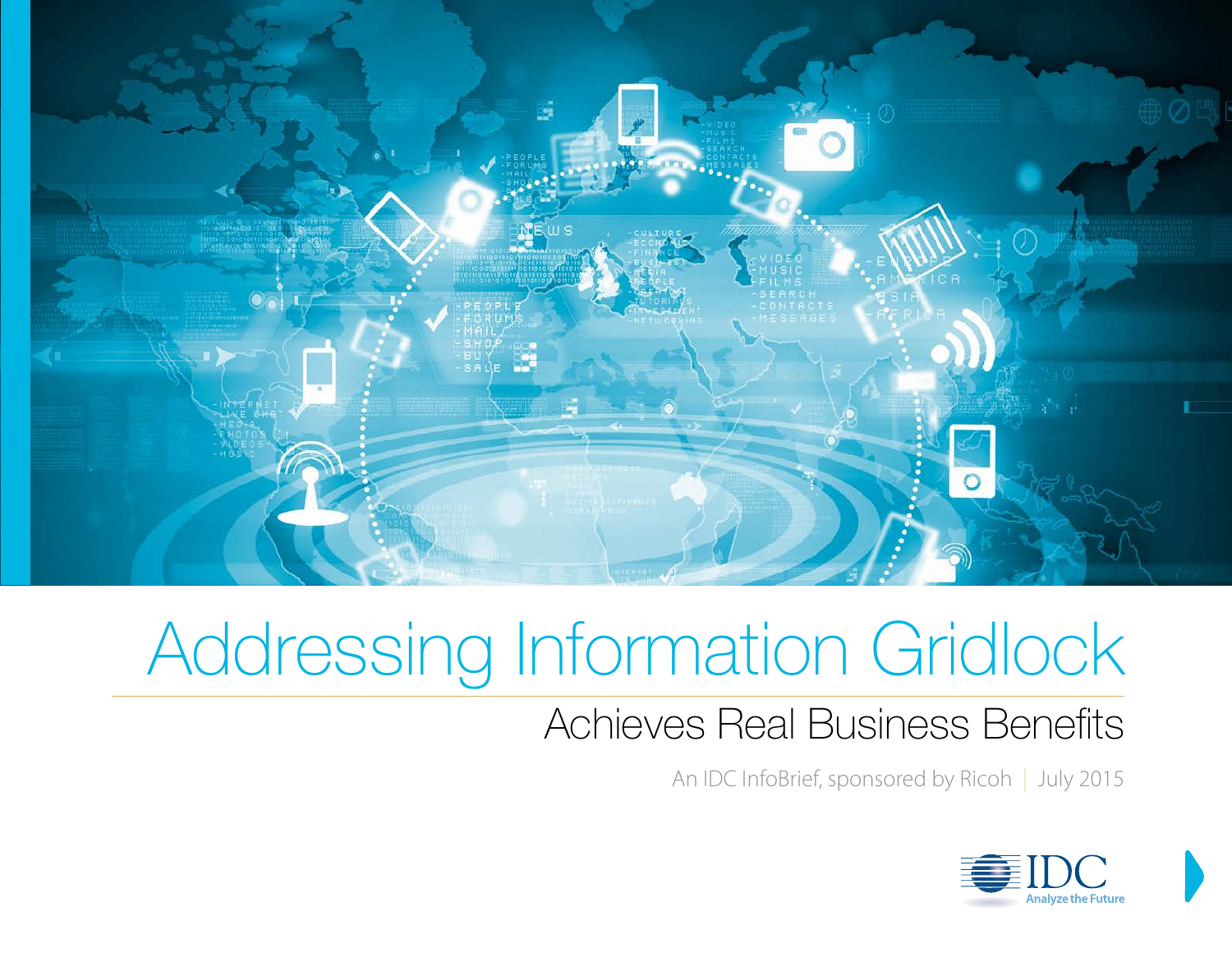

### Achieves Real Business Benefits

An IDC InfoBrief, sponsored by Ricoh | July 2015

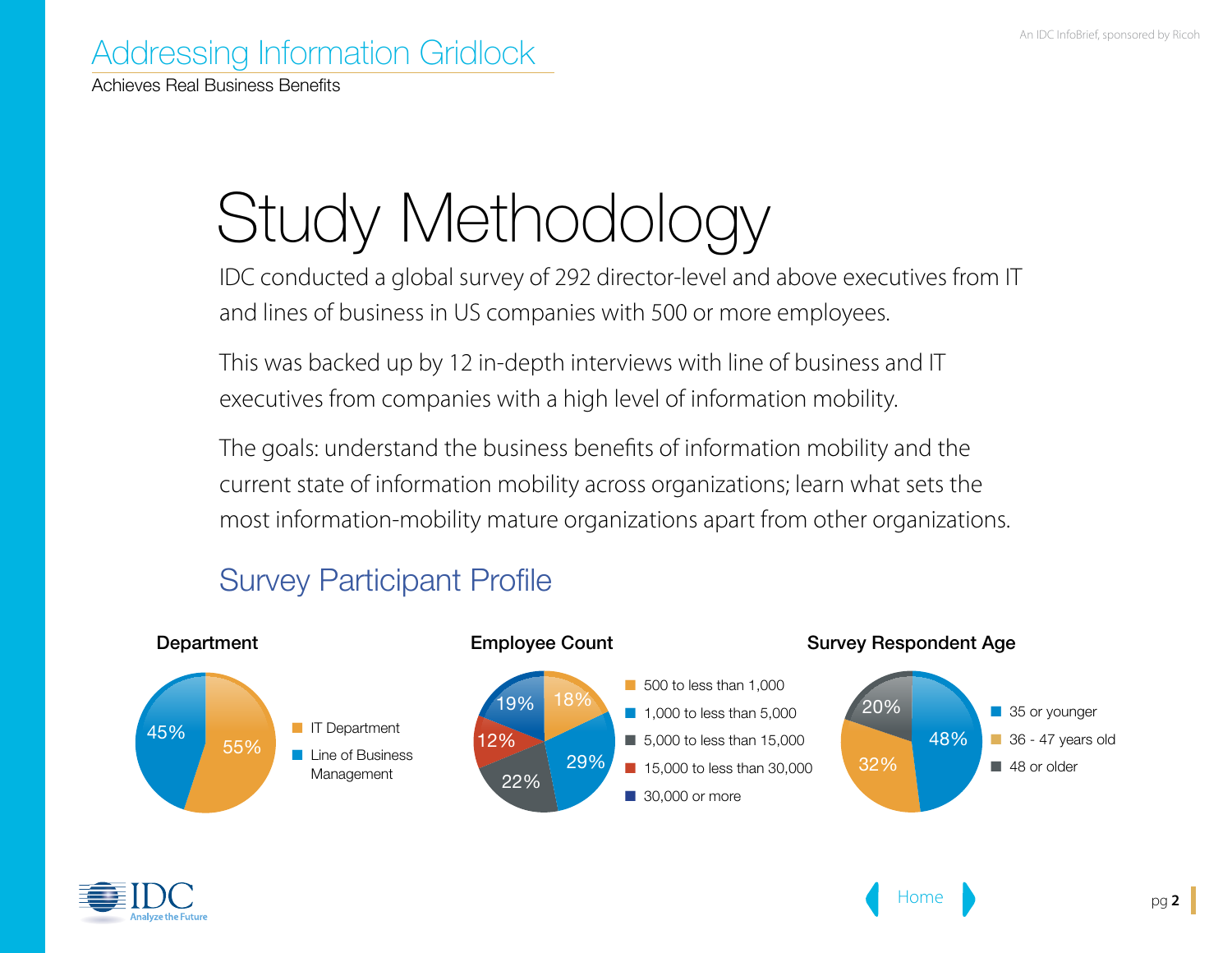Achieves Real Business Benefits

# Study Methodology

IDC conducted a global survey of 292 director-level and above executives from IT and lines of business in US companies with 500 or more employees.

This was backed up by 12 in-depth interviews with line of business and IT executives from companies with a high level of information mobility.

The goals: understand the business benefits of information mobility and the current state of information mobility across organizations; learn what sets the most information-mobility mature organizations apart from other organizations.



#### Survey Participant Profile

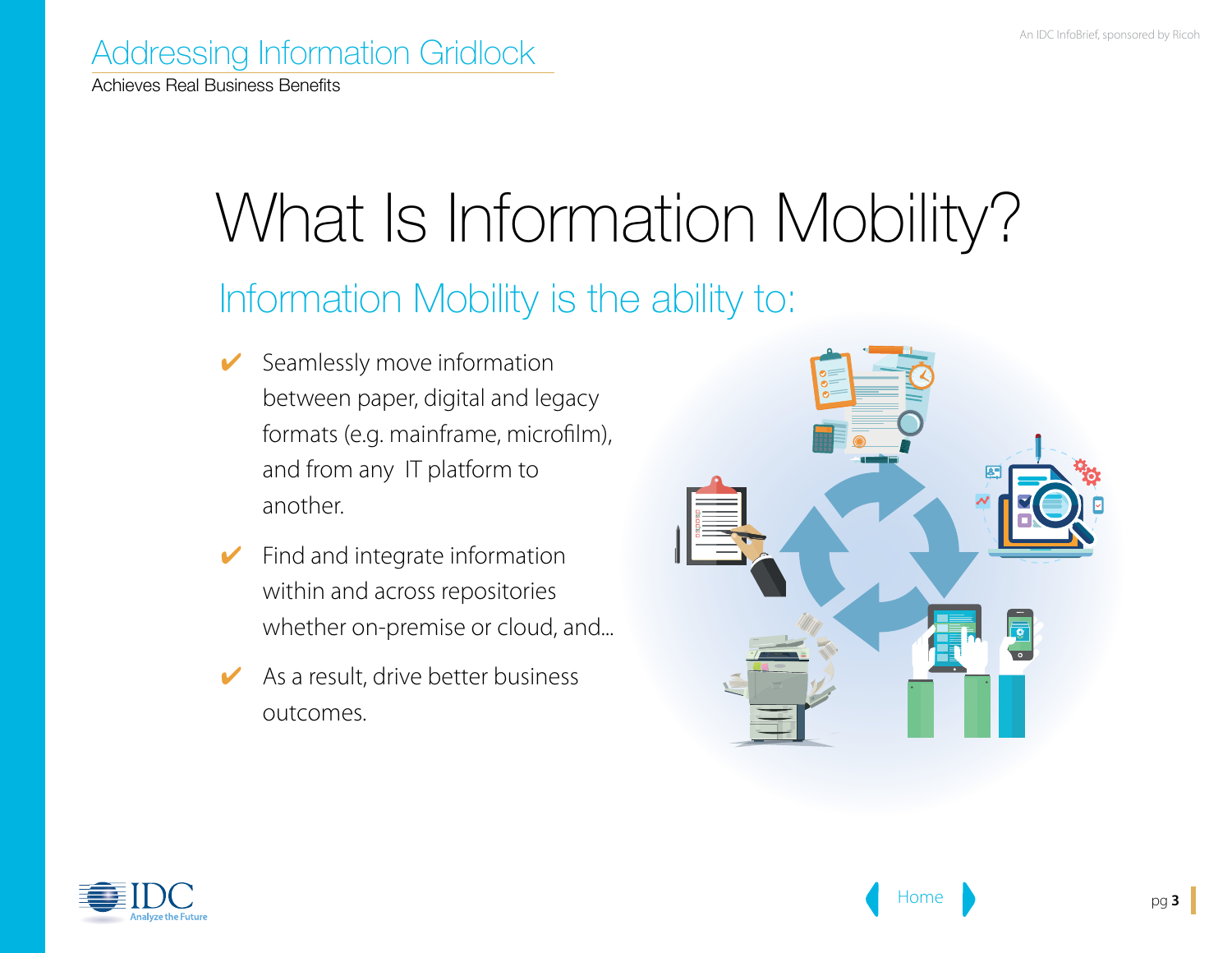Achieves Real Business Benefits

# What Is Information Mobility?

### Information Mobility is the ability to:

- $\checkmark$  Seamlessly move information between paper, digital and legacy formats (e.g. mainframe, microfilm), and from any IT platform to another.
- $\blacktriangleright$  Find and integrate information within and across repositories whether on-premise or cloud, and...
- $\blacktriangleright$  As a result, drive better business outcomes.



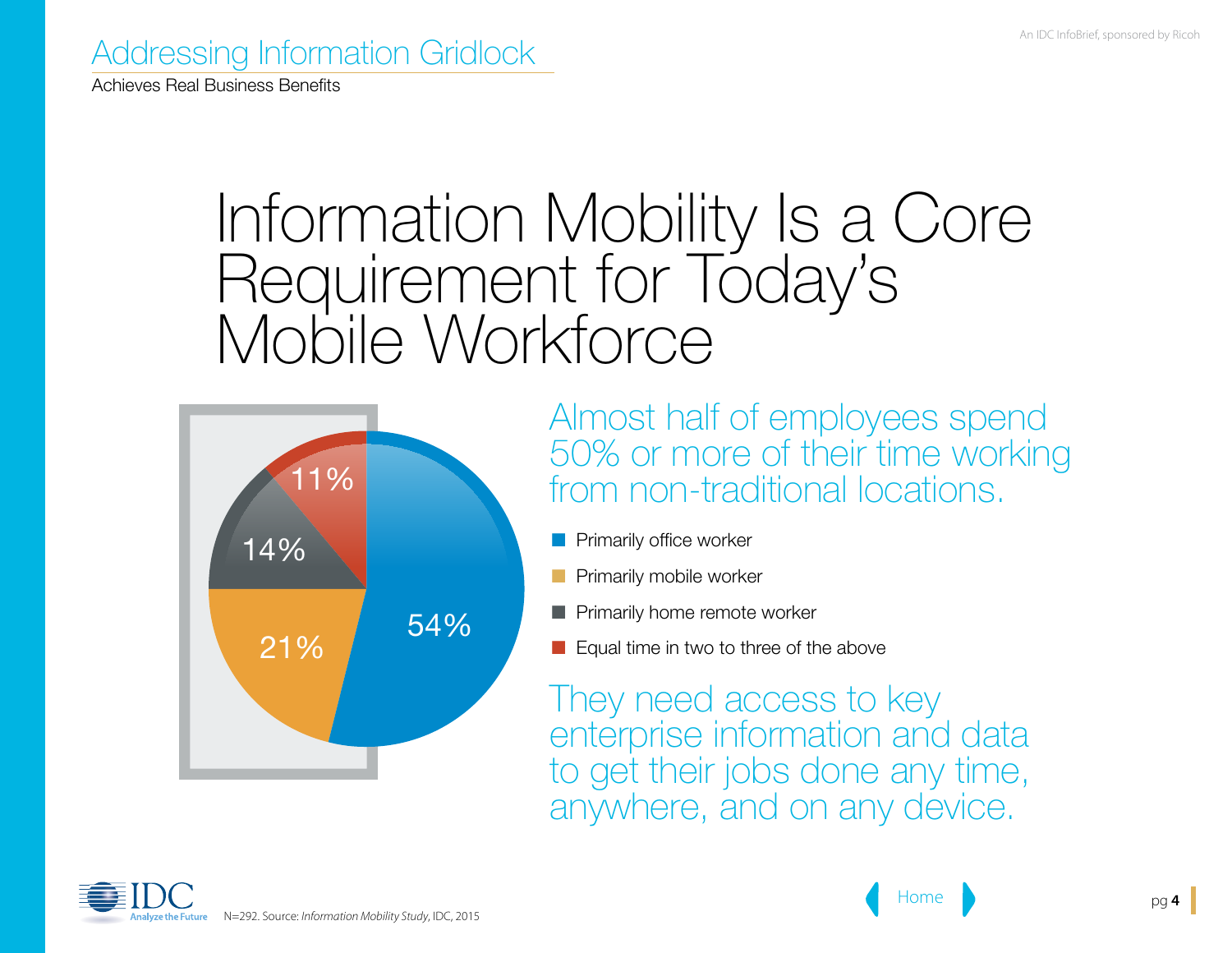Achieves Real Business Benefits

### Information Mobility Is a Core Requirement for Today's Mobile Workforce



Almost half of employees spend 50% or more of their time working from non-traditional locations.

- **n** Primarily office worker
- Primarily mobile worker
- $\blacksquare$  Primarily home remote worker
- $\blacksquare$  Equal time in two to three of the above

They need access to key enterprise information and data to get their jobs done any time, anywhere, and on any device.

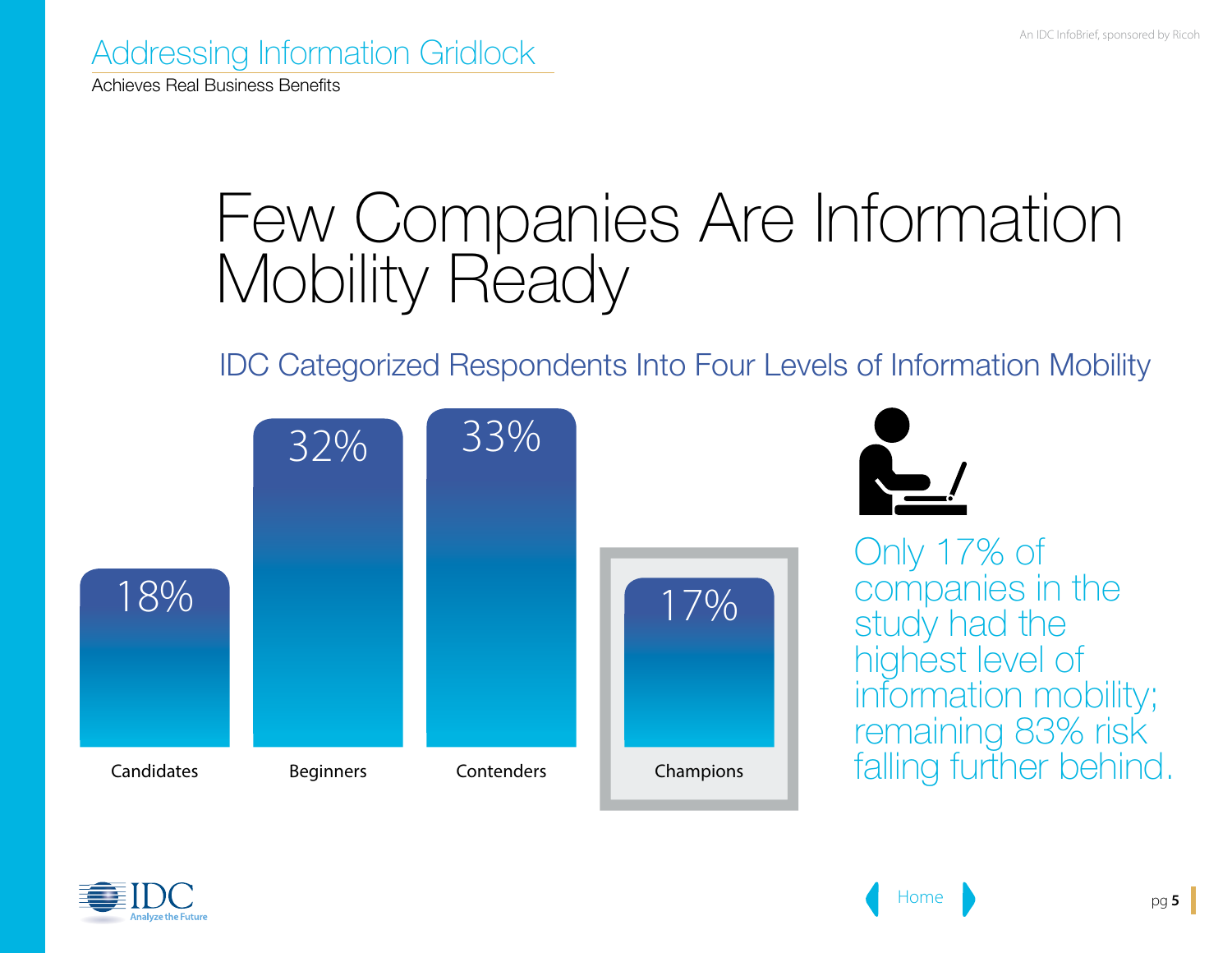Achieves Real Business Benefits

## Few Companies Are Information Mobility Ready

#### IDC Categorized Respondents Into Four Levels of Information Mobility



Only 17% of companies in the study had the highest level of information mobility; remaining 83% risk falling further behind.

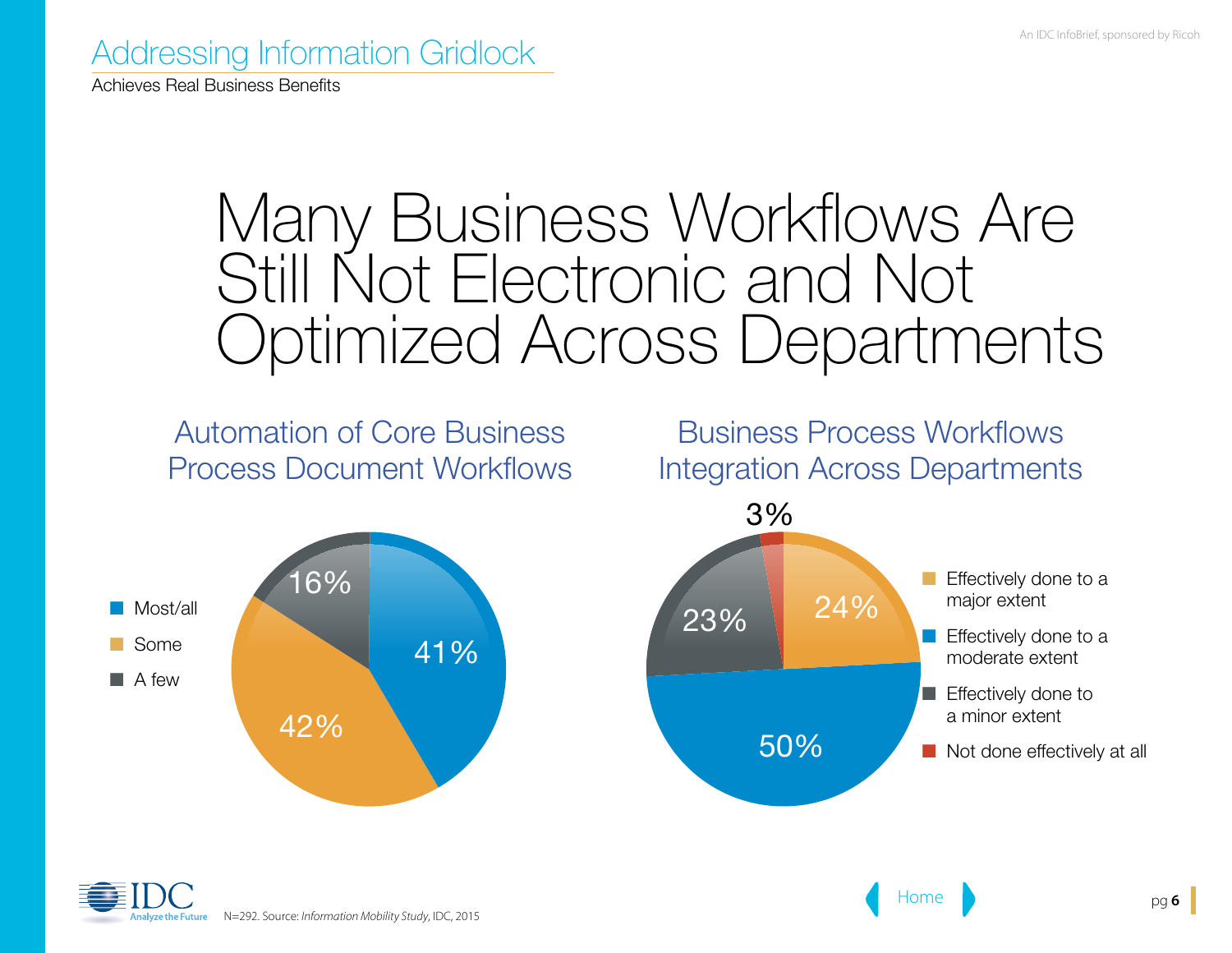Achieves Real Business Benefits

### Many Business Workflows Are Still Not Electronic and Not Optimized Across Departments

Automation of Core Business Process Document Workflows



Business Process Workflows Integration Across Departments



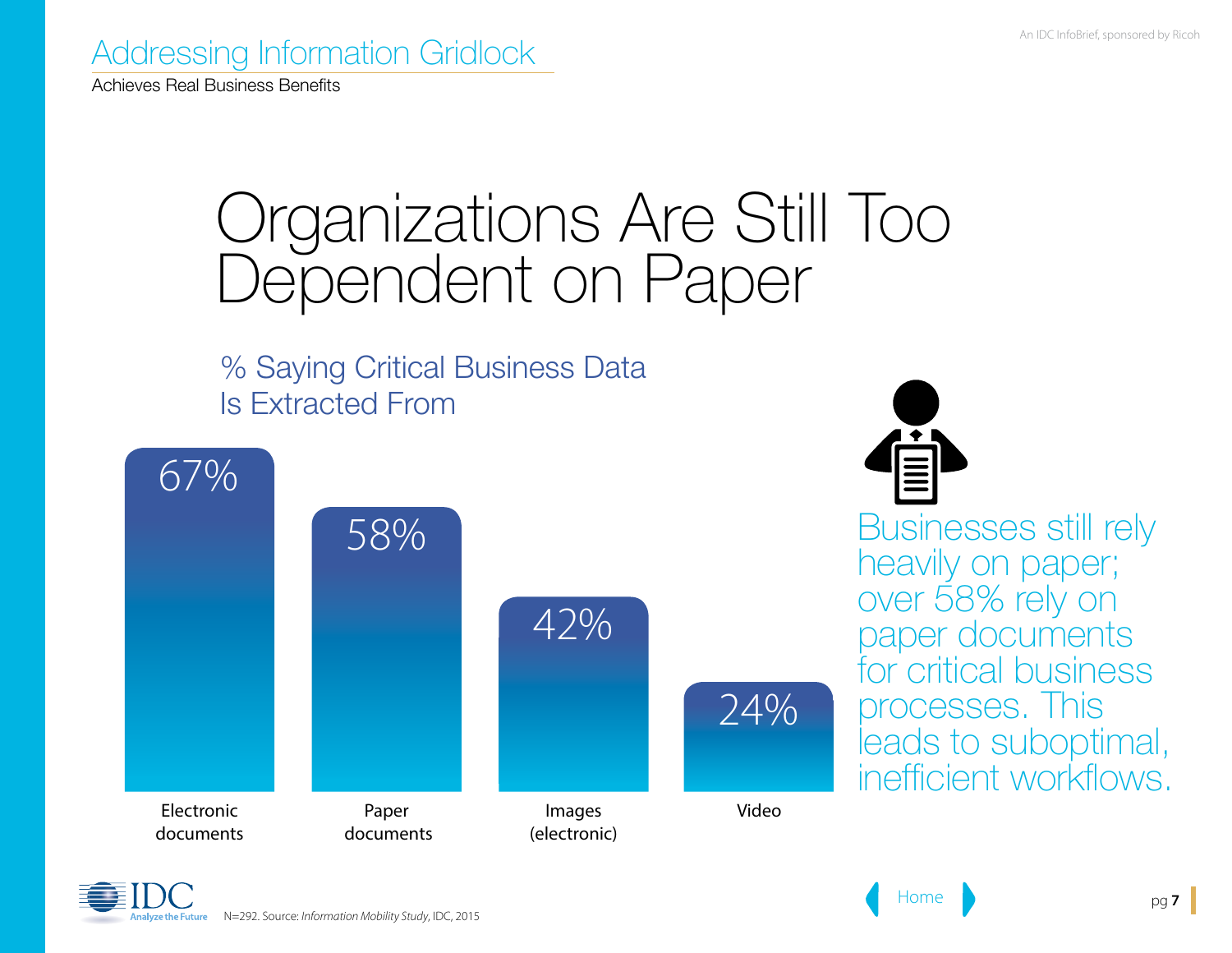Achieves Real Business Benefits

### Organizations Are Still Too Dependent on Paper

% Saying Critical Business Data Is Extracted From





Businesses still rely heavily on paper; over 58% rely on paper documents for critical business processes. This leads to suboptimal, inefficient workflows.

N=292. Source: *Information Mobility Study*, IDC, 2015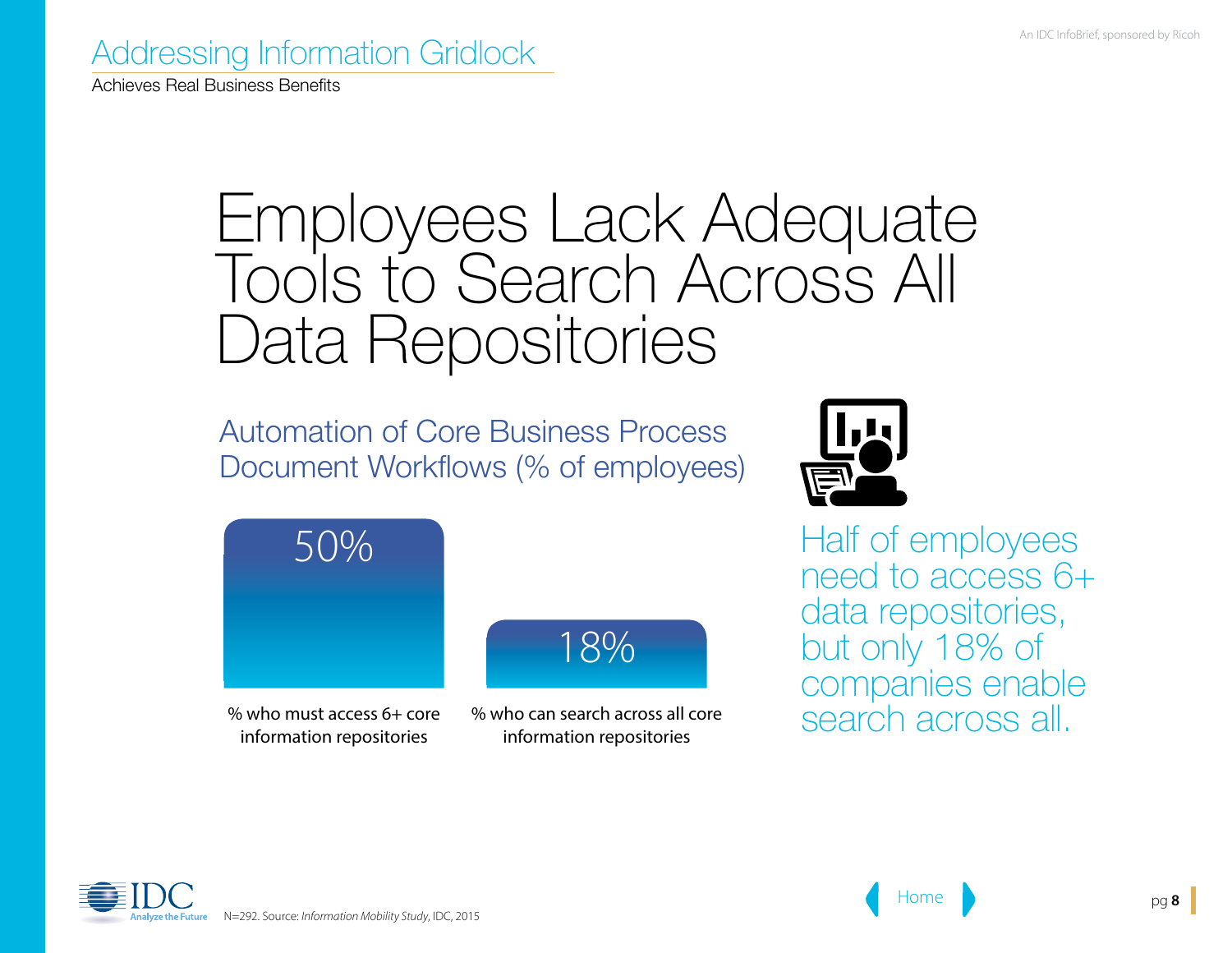Achieves Real Business Benefits

### Employees Lack Adequate Tools to Search Across All Data Repositories

Automation of Core Business Process Document Workflows (% of employees)





% who must access 6+ core information repositories



% who can search across all core information repositories

Half of employees need to access 6+ data repositories, but only 18% of companies enable search across all.

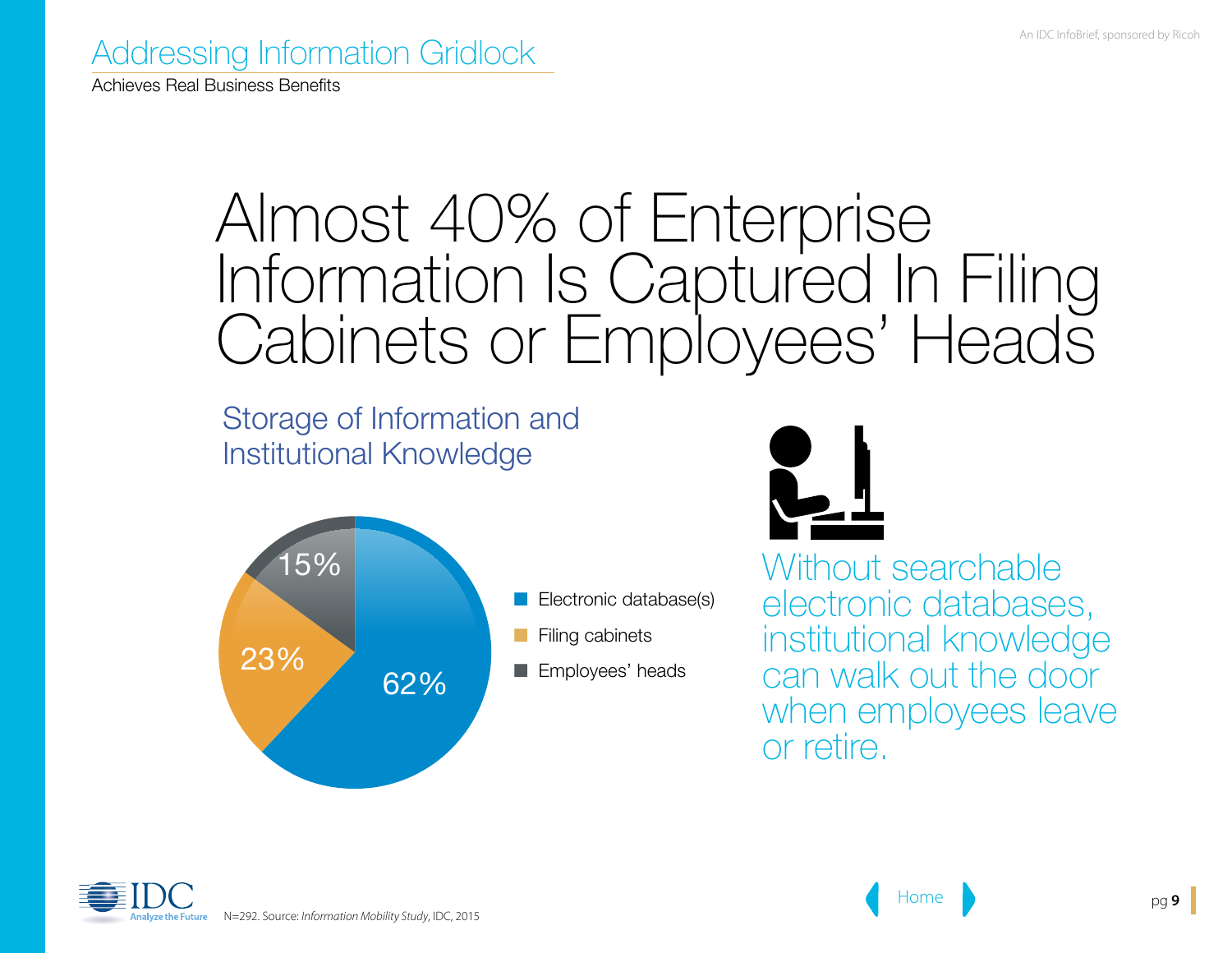Achieves Real Business Benefits

### Almost 40% of Enterprise Information Is Captured In Filing Cabinets or Employees' Heads

Storage of Information and Institutional Knowledge





Without searchable electronic databases, institutional knowledge can walk out the door when employees leave or retire.

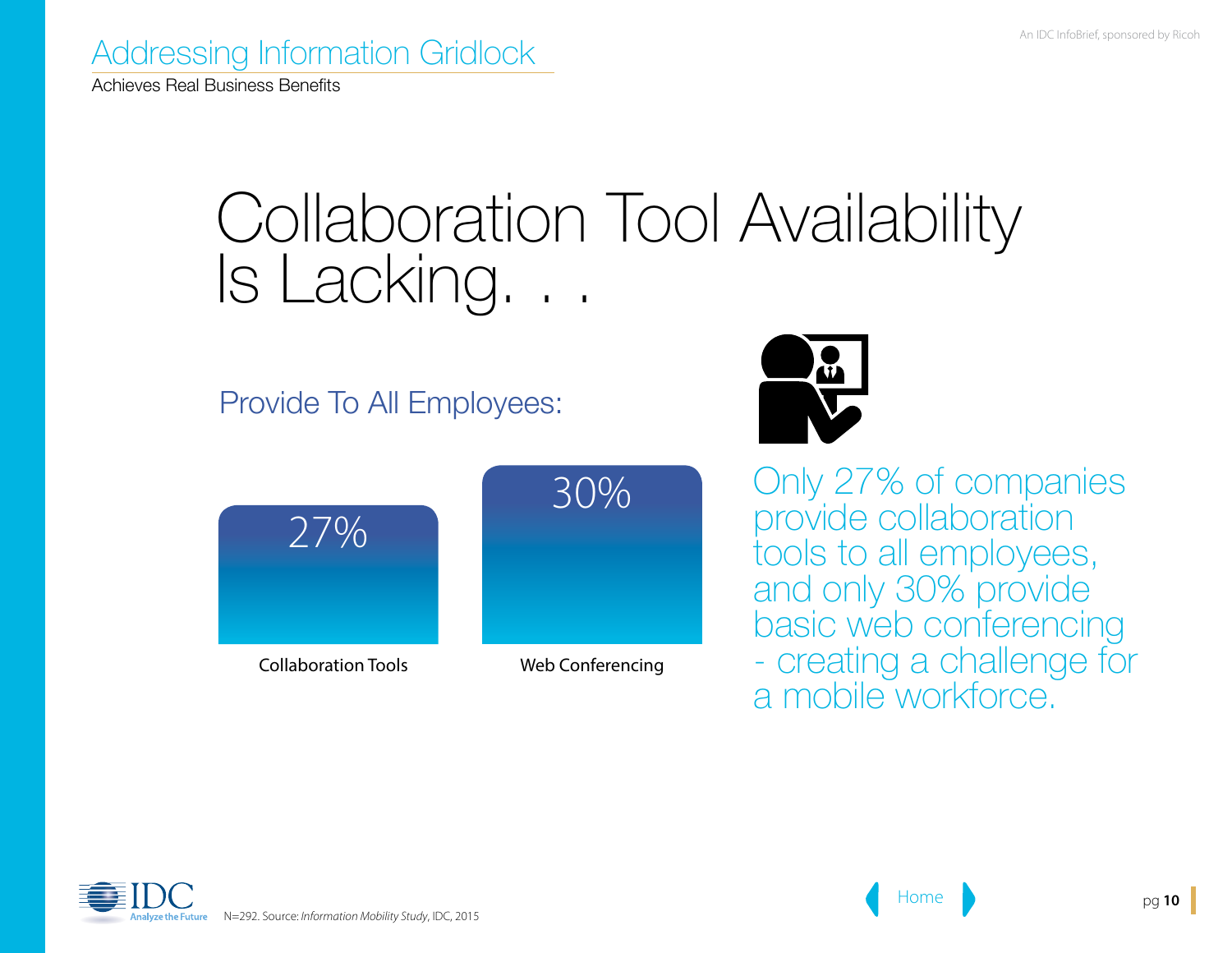Achieves Real Business Benefits

### Collaboration Tool Availability Is Lacking. . .

Provide To All Employees:





Collaboration Tools Web Conferencing



Only 27% of companies provide collaboration tools to all employees, and only 30% provide basic web conferencing - creating a challenge for a mobile workforce.

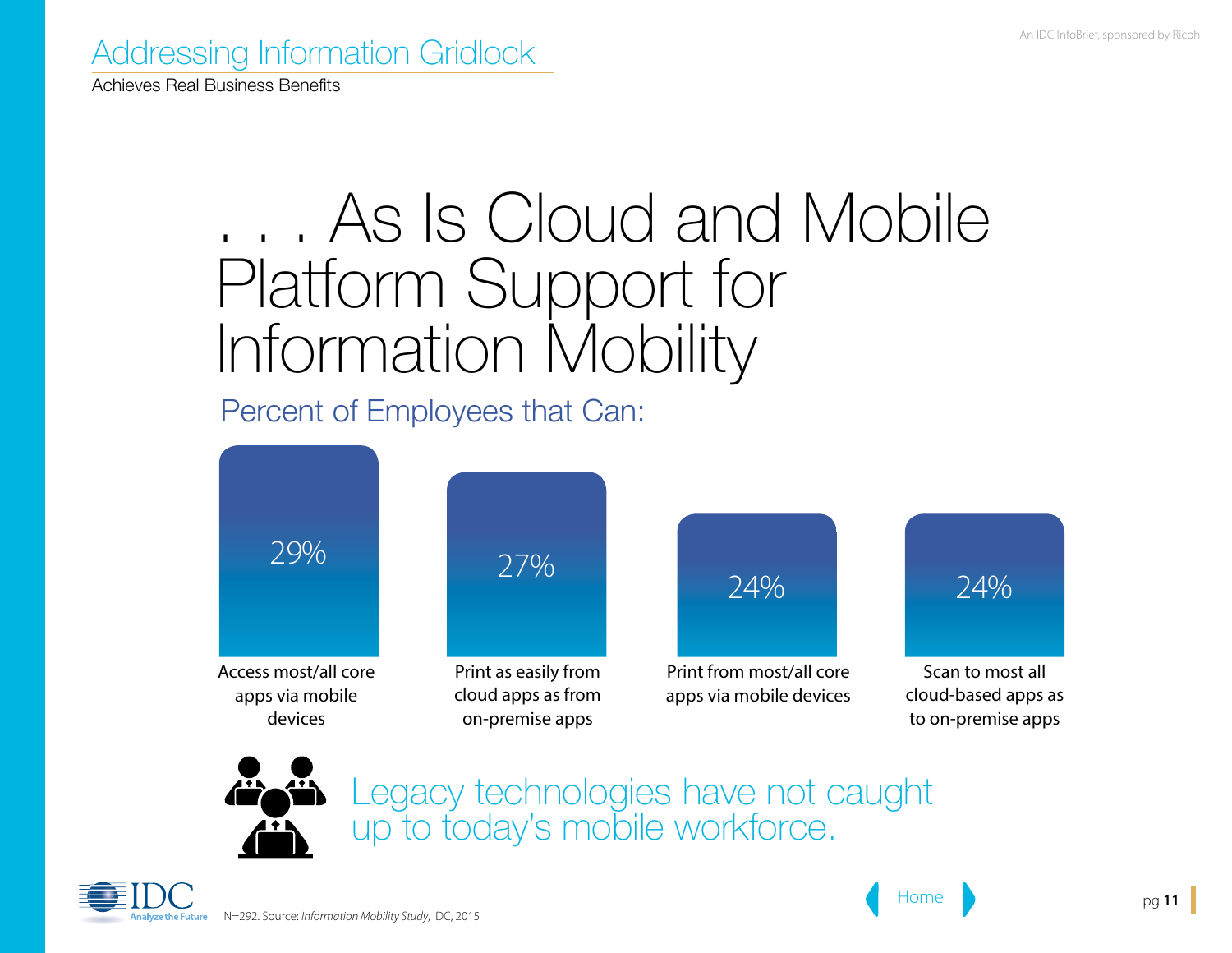Achieves Real Business Benefits

## . . . As Is Cloud and Mobile Platform Support for Information Mobility

Percent of Employees that Can:





Legacy technologies have not caught up to today's mobile workforce.

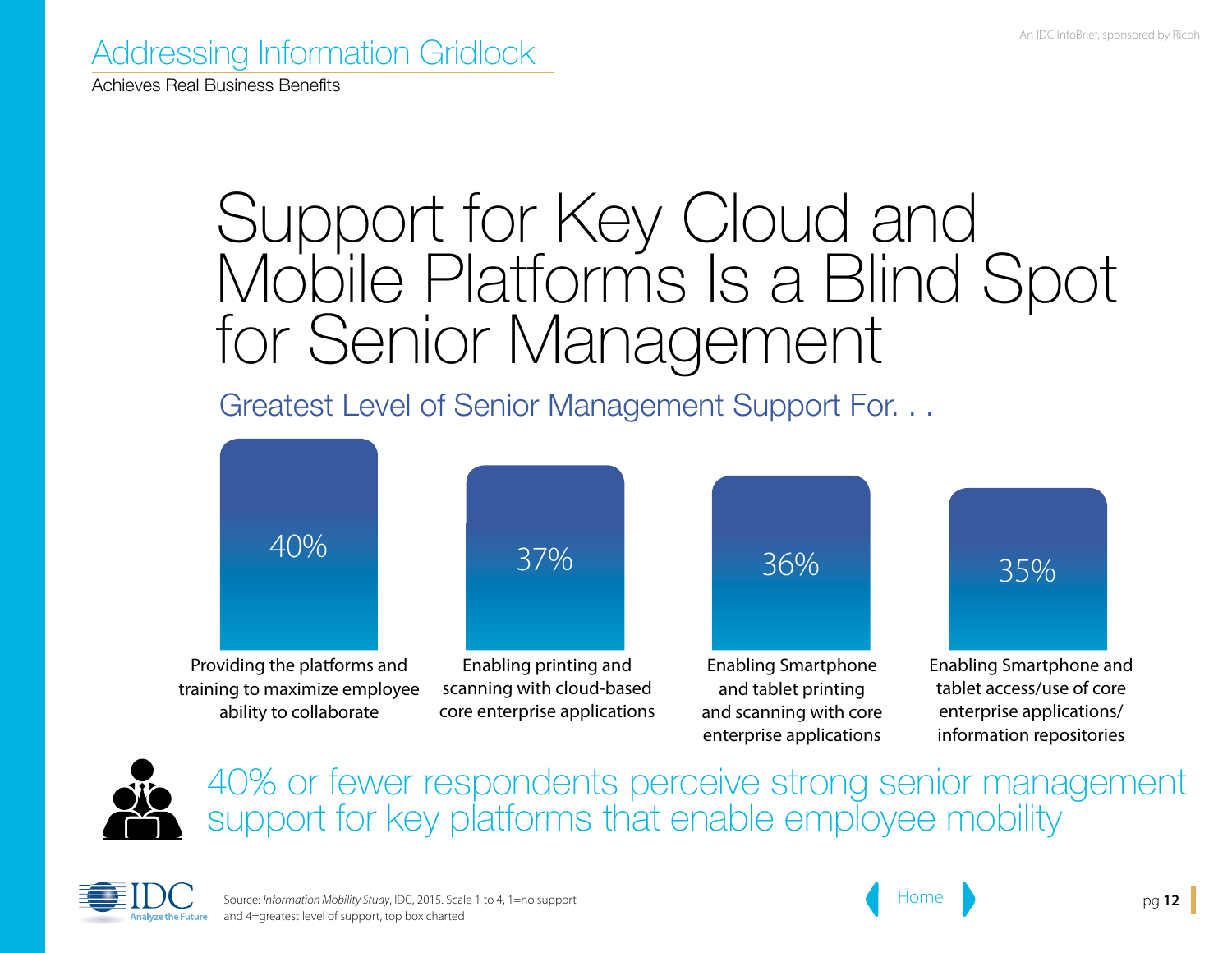Achieves Real Business Benefits

### Support for Key Cloud and Mobile Platforms Is a Blind Spot for Senior Management

Greatest Level of Senior Management Support For. . .





40% or fewer respondents perceive strong senior management support for key platforms that enable employee mobility



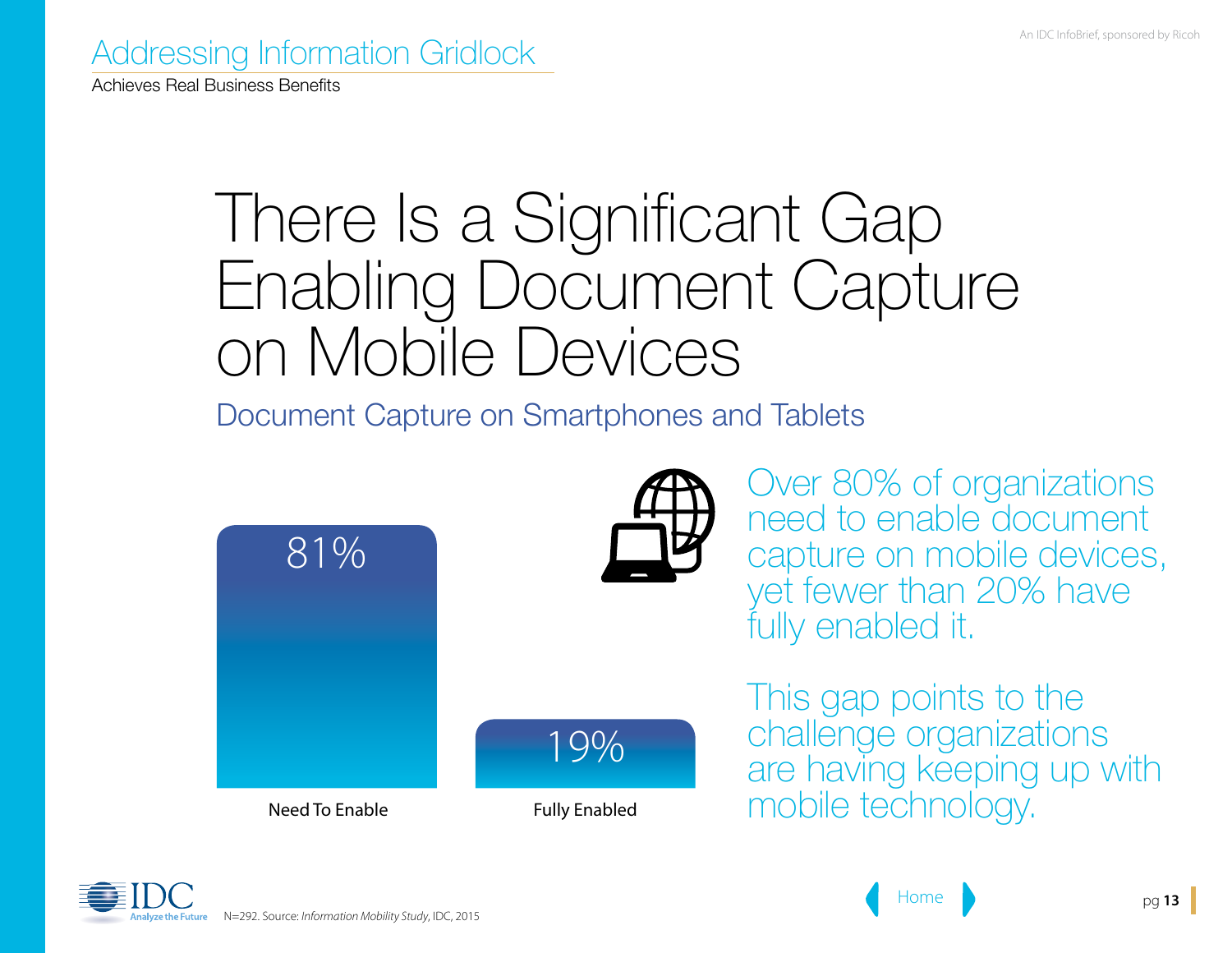Achieves Real Business Benefits

### There Is a Significant Gap Enabling Document Capture on Mobile Devices

Document Capture on Smartphones and Tablets

19%





Over 80% of organizations need to enable document capture on mobile devices, yet fewer than 20% have fully enabled it.

This gap points to the challenge organizations are having keeping up with Need To Enable Fully Enabled mobile technology.

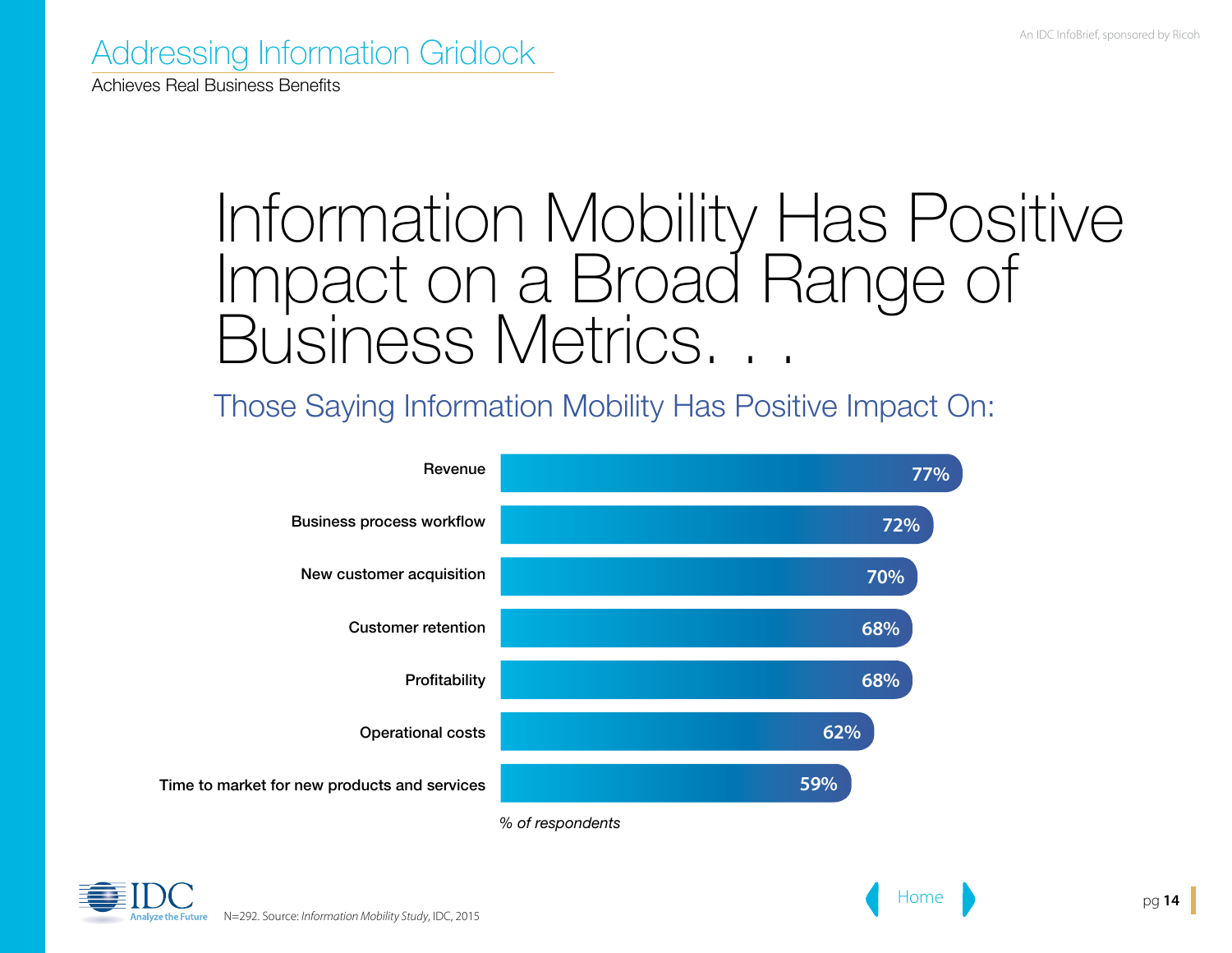Achieves Real Business Benefits

### Information Mobility Has Positive Impact on a Broad Range of Business Metrics...

Those Saying Information Mobility Has Positive Impact On:



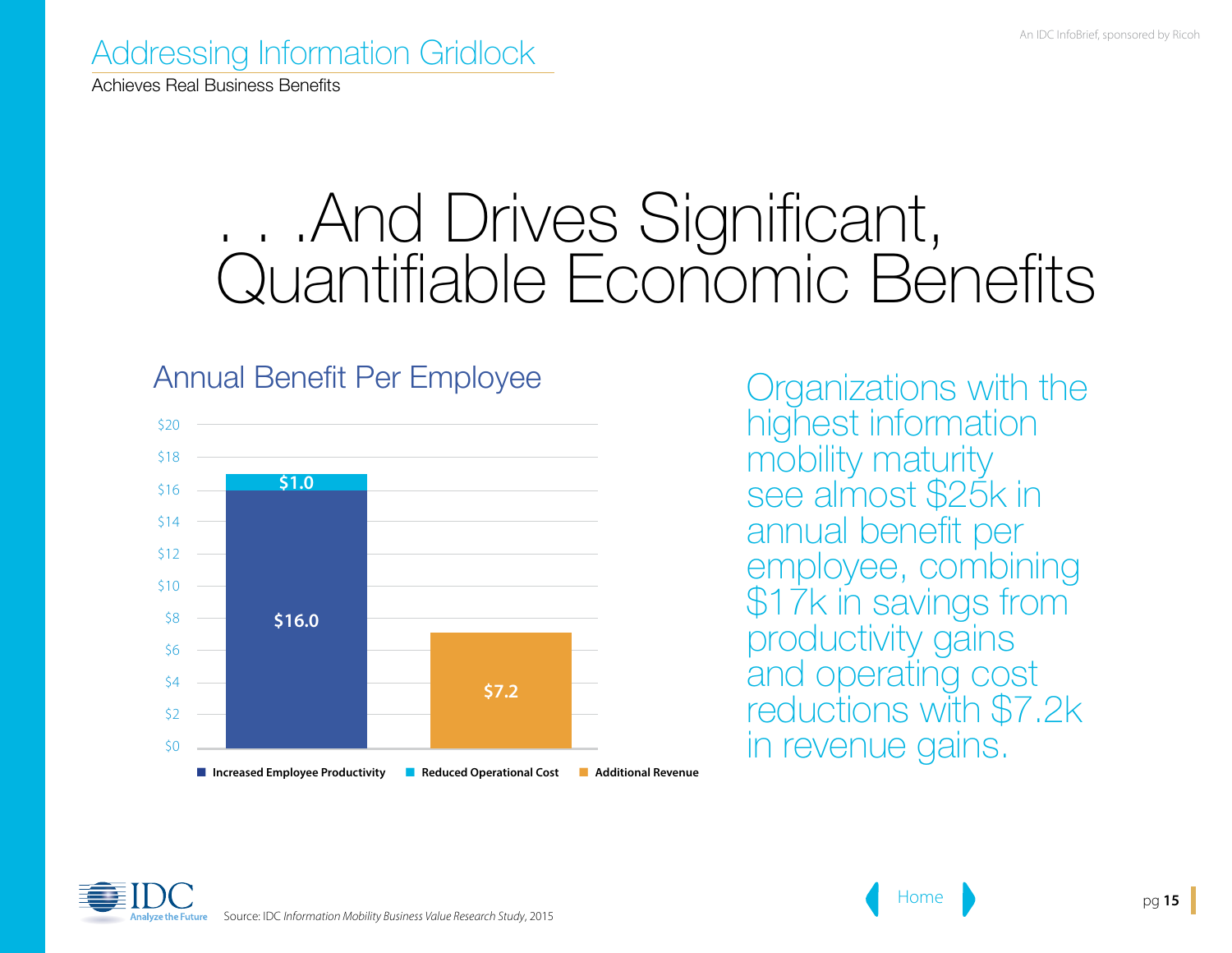Achieves Real Business Benefits

### . . .And Drives Significant, Quantifiable Economic Bénefits

#### Annual Benefit Per Employee



Organizations with the highest information mobility maturity see almost \$25k in annual benefit per employee, combining \$17k in savings from productivity gains and operating cost reductions with \$7.2k in revenue gains.

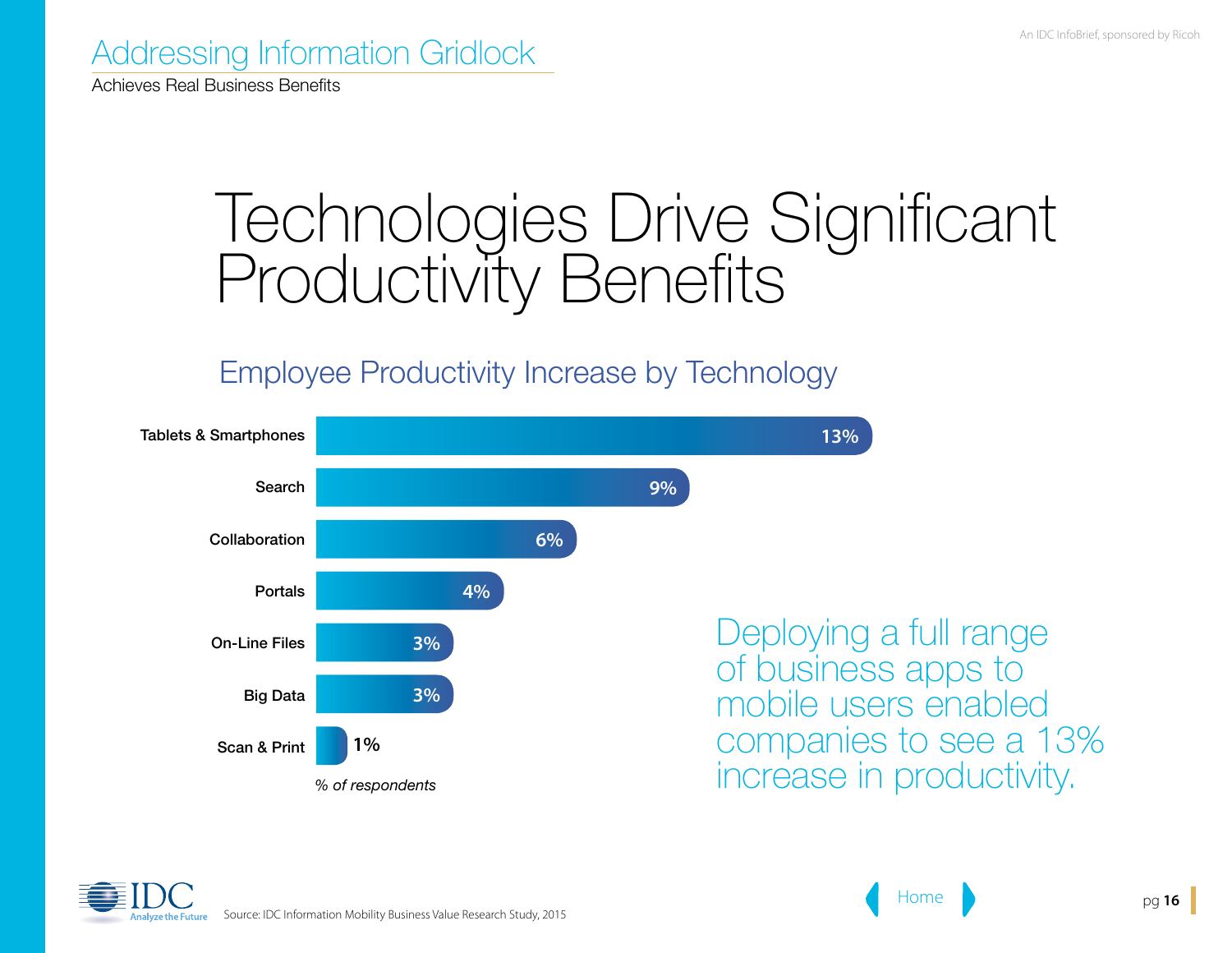Achieves Real Business Benefits

### Technologies Drive Significant Productivity Benefits

#### Employee Productivity Increase by Technology



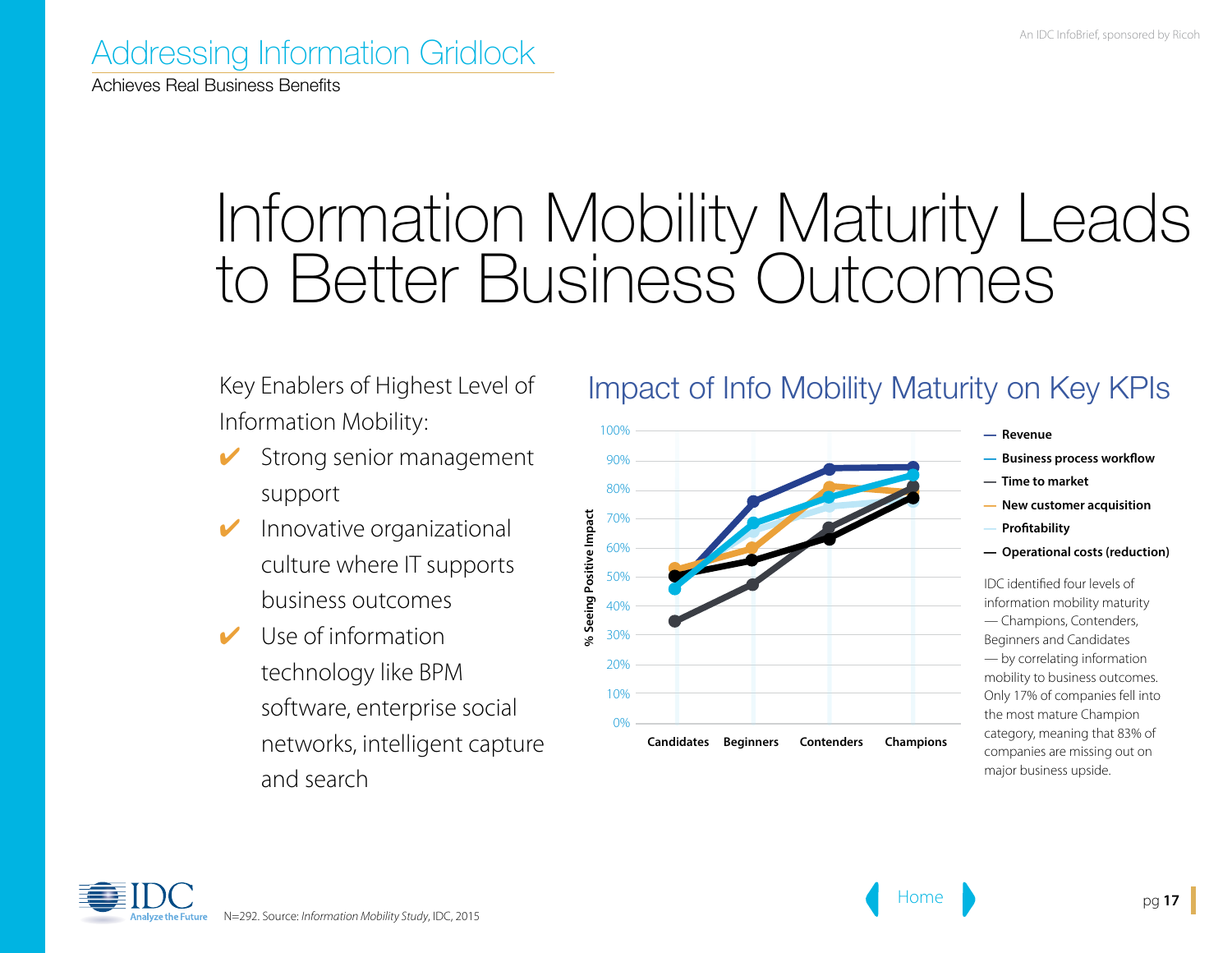Achieves Real Business Benefits

## Information Mobility Maturity Leads to Better Business Outcomes

Key Enablers of Highest Level of Information Mobility:

- Strong senior management support
- Innovative organizational culture where IT supports business outcomes
- Use of information technology like BPM software, enterprise social networks, intelligent capture and search

#### Impact of Info Mobility Maturity on Key KPIs



- — **Revenue**
- — **Business process workflow**
- — **Time to market**
- — **New customer acquisition**
- — **Profitability**
- — **Operational costs (reduction)**

IDC identified four levels of information mobility maturity — Champions, Contenders, Beginners and Candidates — by correlating information mobility to business outcomes. Only 17% of companies fell into the most mature Champion category, meaning that 83% of companies are missing out on major business upside.